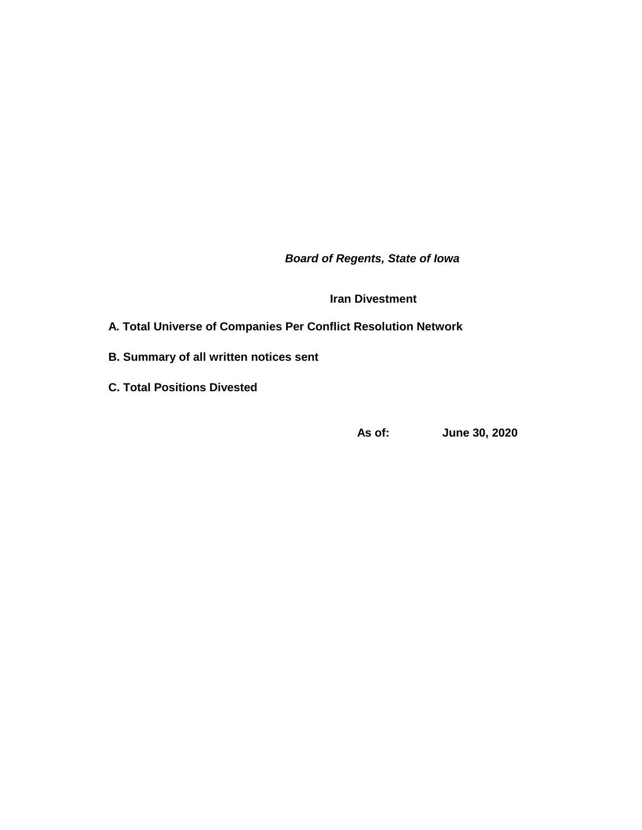*Board of Regents, State of Iowa*

**Iran Divestment**

## **A. Total Universe of Companies Per Conflict Resolution Network**

- **B. Summary of all written notices sent**
- **C. Total Positions Divested**

**As of: June 30, 2020**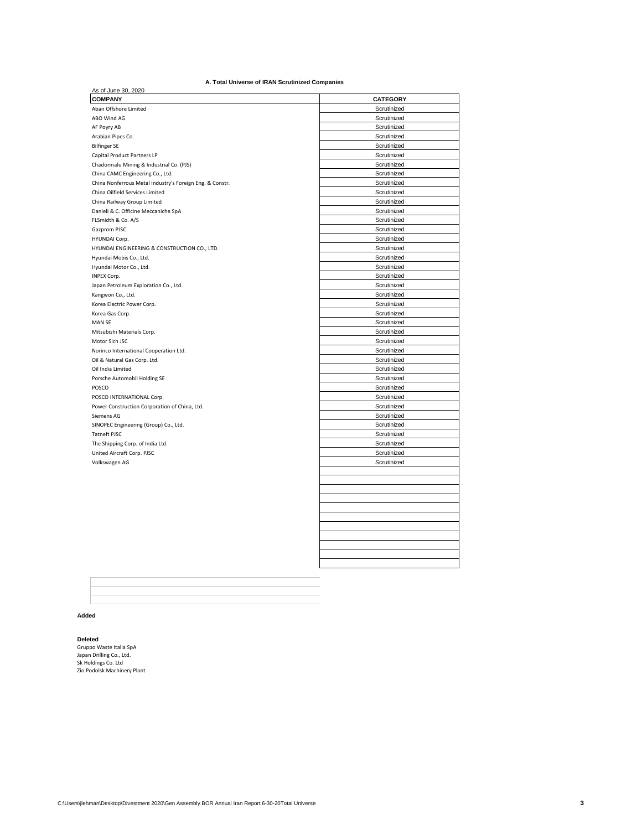### **A. Total Universe of IRAN Scrutinized Companies**

| As of June 30, 2020                                      |                 |
|----------------------------------------------------------|-----------------|
| <b>COMPANY</b>                                           | <b>CATEGORY</b> |
| Aban Offshore Limited                                    | Scrutinized     |
| ABO Wind AG                                              | Scrutinized     |
| AF Poyry AB                                              | Scrutinized     |
| Arabian Pipes Co.                                        | Scrutinized     |
| <b>Bilfinger SE</b>                                      | Scrutinized     |
| Capital Product Partners LP                              | Scrutinized     |
| Chadormalu Mining & Industrial Co. (PJS)                 | Scrutinized     |
| China CAMC Engineering Co., Ltd.                         | Scrutinized     |
| China Nonferrous Metal Industry's Foreign Eng. & Constr. | Scrutinized     |
| China Oilfield Services Limited                          | Scrutinized     |
| China Railway Group Limited                              | Scrutinized     |
| Danieli & C. Officine Meccaniche SpA                     | Scrutinized     |
| FLSmidth & Co. A/S                                       | Scrutinized     |
| Gazprom PJSC                                             | Scrutinized     |
| HYUNDAI Corp.                                            | Scrutinized     |
| HYUNDAI ENGINEERING & CONSTRUCTION CO., LTD.             | Scrutinized     |
| Hyundai Mobis Co., Ltd.                                  | Scrutinized     |
| Hyundai Motor Co., Ltd.                                  | Scrutinized     |
| INPEX Corp.                                              | Scrutinized     |
| Japan Petroleum Exploration Co., Ltd.                    | Scrutinized     |
| Kangwon Co., Ltd.                                        | Scrutinized     |
| Korea Electric Power Corp.                               | Scrutinized     |
| Korea Gas Corp.                                          | Scrutinized     |
| MAN SE                                                   | Scrutinized     |
| Mitsubishi Materials Corp.                               | Scrutinized     |
| Motor Sich JSC                                           | Scrutinized     |
| Norinco International Cooperation Ltd.                   | Scrutinized     |
| Oil & Natural Gas Corp. Ltd.                             | Scrutinized     |
| Oil India Limited                                        | Scrutinized     |
| Porsche Automobil Holding SE                             | Scrutinized     |
| POSCO                                                    | Scrutinized     |
| POSCO INTERNATIONAL Corp.                                | Scrutinized     |
| Power Construction Corporation of China, Ltd.            | Scrutinized     |
| Siemens AG                                               | Scrutinized     |
| SINOPEC Engineering (Group) Co., Ltd.                    | Scrutinized     |
| <b>Tatneft PJSC</b>                                      | Scrutinized     |
| The Shipping Corp. of India Ltd.                         | Scrutinized     |
| United Aircraft Corp. PJSC                               | Scrutinized     |
| Volkswagen AG                                            | Scrutinized     |
|                                                          |                 |
|                                                          |                 |
|                                                          |                 |
|                                                          |                 |
|                                                          |                 |
|                                                          |                 |
|                                                          |                 |
|                                                          |                 |
|                                                          |                 |
|                                                          |                 |
|                                                          |                 |

**Added**

**Deleted**<br>Gruppo Waste Italia SpA<br>Japan Drilling Co., Ltd.<br>Sk Holdings Co. Ltd<br>Zio Podolsk Machinery Plant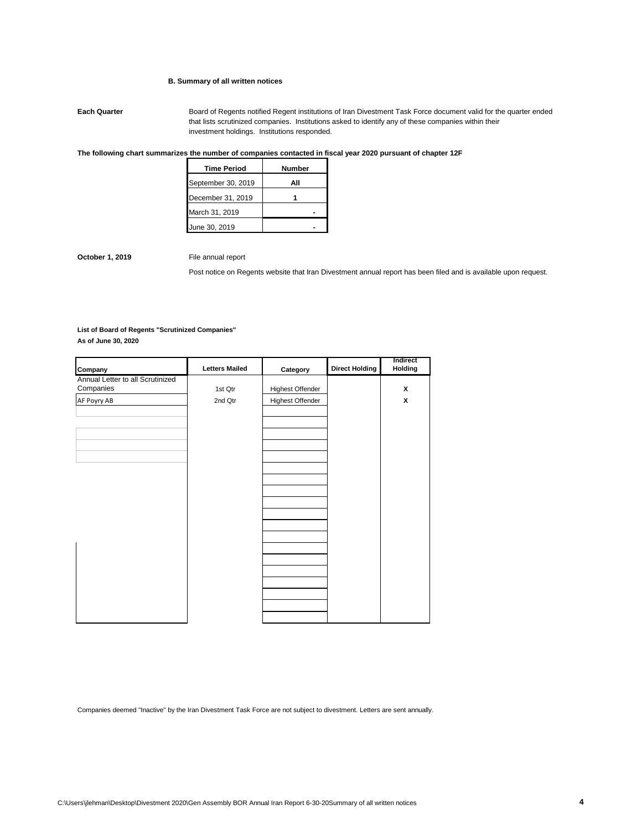### **B. Summary of all written notices**

**Each Quarter** Board of Regents notified Regent institutions of Iran Divestment Task Force document valid for the quarter ended that lists scrutinized companies. Institutions asked to identify any of these companies within their investment holdings. Institutions responded.

### **The following chart summarizes the number of companies contacted in fiscal year 2020 pursuant of chapter 12F**

| <b>Time Period</b> | Number |
|--------------------|--------|
| September 30, 2019 | All    |
| December 31, 2019  |        |
| March 31, 2019     |        |
| June 30, 2019      |        |

**October 1, 2019** File annual report

Post notice on Regents website that Iran Divestment annual report has been filed and is available upon request.

# **List of Board of Regents "Scrutinized Companies"**

**As of June 30, 2020**

| Company                          | <b>Letters Mailed</b> | Category                | <b>Direct Holding</b> | Indirect<br>Holding |
|----------------------------------|-----------------------|-------------------------|-----------------------|---------------------|
| Annual Letter to all Scrutinized |                       |                         |                       |                     |
| Companies                        | 1st Qtr               | <b>Highest Offender</b> |                       | X                   |
| AF Poyry AB                      | 2nd Qtr               | <b>Highest Offender</b> |                       | x                   |
|                                  |                       |                         |                       |                     |
|                                  |                       |                         |                       |                     |
|                                  |                       |                         |                       |                     |
|                                  |                       |                         |                       |                     |
|                                  |                       |                         |                       |                     |
|                                  |                       |                         |                       |                     |
|                                  |                       |                         |                       |                     |
|                                  |                       |                         |                       |                     |
|                                  |                       |                         |                       |                     |
|                                  |                       |                         |                       |                     |
|                                  |                       |                         |                       |                     |
|                                  |                       |                         |                       |                     |
|                                  |                       |                         |                       |                     |
|                                  |                       |                         |                       |                     |
|                                  |                       |                         |                       |                     |
|                                  |                       |                         |                       |                     |
|                                  |                       |                         |                       |                     |
|                                  |                       |                         |                       |                     |
|                                  |                       |                         |                       |                     |
|                                  |                       |                         |                       |                     |
|                                  |                       |                         |                       |                     |

Companies deemed "Inactive" by the Iran Divestment Task Force are not subject to divestment. Letters are sent annually.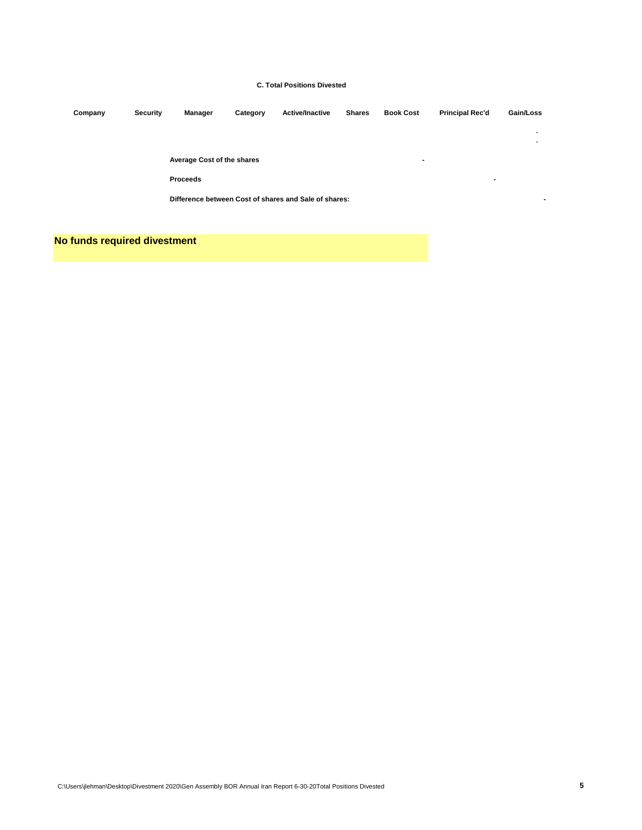### **C. Total Positions Divested**

| Company | Security | <b>Manager</b>                                        | Category | <b>Active/Inactive</b> | <b>Shares</b> | <b>Book Cost</b> | <b>Principal Rec'd</b> | Gain/Loss                |
|---------|----------|-------------------------------------------------------|----------|------------------------|---------------|------------------|------------------------|--------------------------|
|         |          |                                                       |          |                        |               |                  |                        | $\overline{\phantom{a}}$ |
|         |          |                                                       |          |                        |               |                  |                        |                          |
|         |          | Average Cost of the shares<br>$\blacksquare$          |          |                        |               |                  |                        |                          |
|         |          | <b>Proceeds</b>                                       |          |                        |               |                  | $\blacksquare$         |                          |
|         |          | Difference between Cost of shares and Sale of shares: |          |                        |               |                  |                        |                          |
|         |          |                                                       |          |                        |               |                  |                        |                          |

## **No funds required divestment**